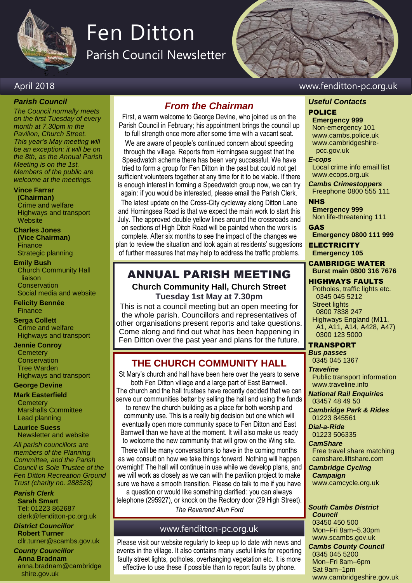

# Fen Ditton

Parish Council Newsletter

## April 2018 www.fenditton-pc.org.uk

#### *Parish Council*

*The Council normally meets on the first Tuesday of every month at 7.30pm in the Pavilion, Church Street. This year's May meeting will be an exception: it will be on the 8th, as the Annual Parish Meeting is on the 1st. Members of the public are welcome at the meetings.*

#### **Vince Farrar**

**(Chairman)** Crime and welfare Highways and transport **Website** 

**Charles Jones (Vice Chairman)** Finance Strategic planning

#### **Emily Bush**

Church Community Hall liaison **Conservation** Social media and website

**Felicity Bennée Finance** 

## **Serga Collett**

Crime and welfare Highways and transport

#### **Jennie Conroy**

**Cemetery Conservation** Tree Warden Highways and transport

#### **George Devine**

**Mark Easterfield**

**Cemetery** Marshalls Committee Lead planning

**Laurice Suess** Newsletter and website

*All parish councillors are members of the Planning Committee, and the Parish Council is Sole Trustee of the Fen Ditton Recreation Ground Trust (charity no. 288528)*

#### *Parish Clerk*

**Sarah Smart** Tel: 01223 862687 clerk@fenditton-pc.org.uk

#### *District Councillor* **Robert Turner** cllr.turner@scambs.gov.uk

*County Councillor* **Anna Bradnam** anna.bradnam@cambridge shire.gov.uk

## *From the Chairman*

First, a warm welcome to George Devine, who joined us on the Parish Council in February; his appointment brings the council up to full strength once more after some time with a vacant seat.

We are aware of people's continued concern about speeding through the village. Reports from Horningsea suggest that the Speedwatch scheme there has been very successful. We have tried to form a group for Fen Ditton in the past but could not get sufficient volunteers together at any time for it to be viable. If there is enough interest in forming a Speedwatch group now, we can try again: if you would be interested, please email the Parish Clerk.

The latest update on the Cross-City cycleway along Ditton Lane and Horningsea Road is that we expect the main work to start this July. The approved double yellow lines around the crossroads and on sections of High Ditch Road will be painted when the work is complete. After six months to see the impact of the changes we plan to review the situation and look again at residents' suggestions of further measures that may help to address the traffic problems.

## ANNUAL PARISH MEETING

**Church Community Hall, Church Street Tuesday 1st May at 7.30pm**

This is not a council meeting but an open meeting for the whole parish. Councillors and representatives of other organisations present reports and take questions. Come along and find out what has been happening in Fen Ditton over the past year and plans for the future.

## **THE CHURCH COMMUNITY HALL**

St Mary's church and hall have been here over the years to serve both Fen Ditton village and a large part of East Barnwell. The church and the hall trustees have recently decided that we can serve our communities better by selling the hall and using the funds

to renew the church building as a place for both worship and community use. This is a really big decision but one which will eventually open more community space to Fen Ditton and East Barnwell than we have at the moment. It will also make us ready to welcome the new community that will grow on the Wing site.

There will be many conversations to have in the coming months as we consult on how we take things forward. Nothing will happen overnight! The hall will continue in use while we develop plans, and we will work as closely as we can with the pavilion project to make sure we have a smooth transition. Please do talk to me if you have a question or would like something clarified: you can always

telephone (295927), or knock on the Rectory door (29 High Street). *The Reverend Alun Ford*

## www.fenditton-pc.org.uk

Please visit our website regularly to keep up to date with news and events in the village. It also contains many useful links for reporting faulty street lights, potholes, overhanging vegetation etc. It is more effective to use these if possible than to report faults by phone.

## *Useful Contacts*

## POLICE

**Emergency 999** Non-emergency 101 www.cambs.police.uk www.cambridgeshire pcc.gov.uk

#### *E-cops*

Local crime info email list www.ecops.org.uk

*Cambs Crimestoppers* Freephone 0800 555 111

#### **NHS**

**Emergency 999** Non life-threatening 111

GAS

**Emergency 0800 111 999**

**ELECTRICITY Emergency 105**

### CAMBRIDGE WATER

## **Burst main 0800 316 7676**

HIGHWAYS FAULTS Potholes, traffic lights etc. 0345 045 5212 Street lights 0800 7838 247 Highways England (M11, A1, A11, A14, A428, A47)

### TRANSPORT

0300 123 5000

*Bus passes* 0345 045 1367

*Traveline* Public transport information www.traveline.info

*National Rail Enquiries* 03457 48 49 50

*Cambridge Park & Rides* 01223 845561

*Dial-a-Ride* 01223 506335

*CamShare* Free travel share matching

camshare.liftshare**.**com *Cambridge Cycling* 

*Campaign* www.camcycle.org.uk

*South Cambs District Council* 03450 450 500

Mon–Fri 8am–5.30pm www.scambs.gov.uk *Cambs County Council* 0345 045 5200 Mon–Fri 8am–6pm

www.cambridgeshire.gov.uk

Sat 9am–1pm